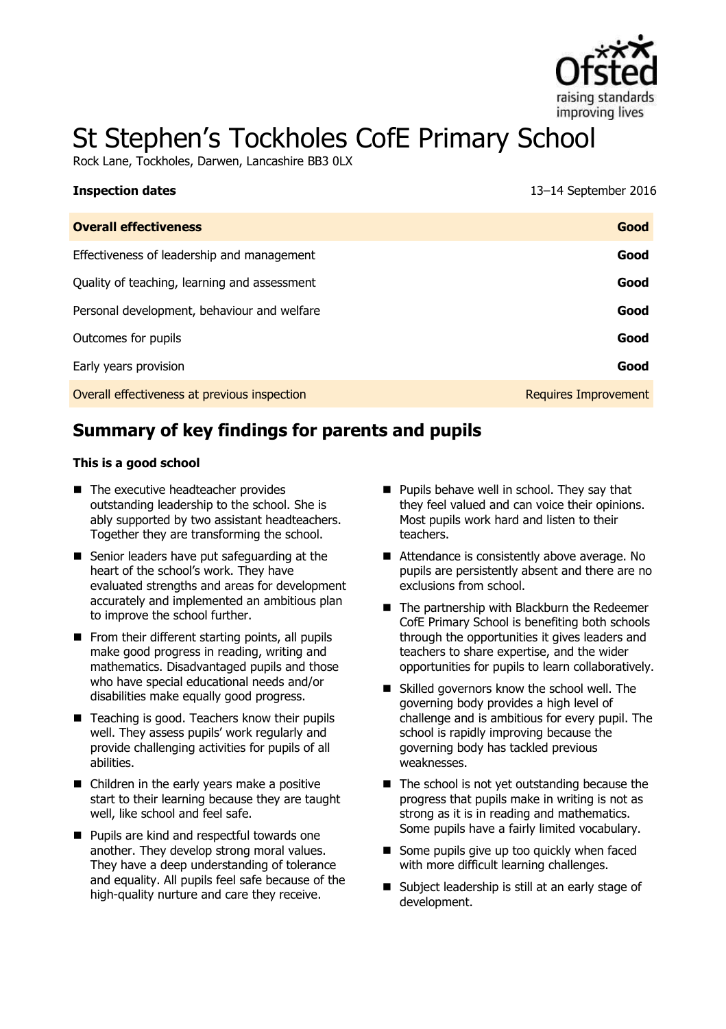

# St Stephen's Tockholes CofE Primary School

Rock Lane, Tockholes, Darwen, Lancashire BB3 0LX

| <b>Inspection dates</b>                      | 13-14 September 2016        |
|----------------------------------------------|-----------------------------|
| <b>Overall effectiveness</b>                 | Good                        |
| Effectiveness of leadership and management   | Good                        |
| Quality of teaching, learning and assessment | Good                        |
| Personal development, behaviour and welfare  | Good                        |
| Outcomes for pupils                          | Good                        |
| Early years provision                        | Good                        |
| Overall effectiveness at previous inspection | <b>Requires Improvement</b> |

# **Summary of key findings for parents and pupils**

#### **This is a good school**

- The executive headteacher provides outstanding leadership to the school. She is ably supported by two assistant headteachers. Together they are transforming the school.
- Senior leaders have put safeguarding at the heart of the school's work. They have evaluated strengths and areas for development accurately and implemented an ambitious plan to improve the school further.
- $\blacksquare$  From their different starting points, all pupils make good progress in reading, writing and mathematics. Disadvantaged pupils and those who have special educational needs and/or disabilities make equally good progress.
- $\blacksquare$  Teaching is good. Teachers know their pupils well. They assess pupils' work regularly and provide challenging activities for pupils of all abilities.
- Children in the early years make a positive start to their learning because they are taught well, like school and feel safe.
- **Pupils are kind and respectful towards one** another. They develop strong moral values. They have a deep understanding of tolerance and equality. All pupils feel safe because of the high-quality nurture and care they receive.
- **Pupils behave well in school. They say that** they feel valued and can voice their opinions. Most pupils work hard and listen to their teachers.
- Attendance is consistently above average. No pupils are persistently absent and there are no exclusions from school.
- The partnership with Blackburn the Redeemer CofE Primary School is benefiting both schools through the opportunities it gives leaders and teachers to share expertise, and the wider opportunities for pupils to learn collaboratively.
- Skilled governors know the school well. The governing body provides a high level of challenge and is ambitious for every pupil. The school is rapidly improving because the governing body has tackled previous weaknesses.
- $\blacksquare$  The school is not yet outstanding because the progress that pupils make in writing is not as strong as it is in reading and mathematics. Some pupils have a fairly limited vocabulary.
- Some pupils give up too quickly when faced with more difficult learning challenges.
- Subject leadership is still at an early stage of development.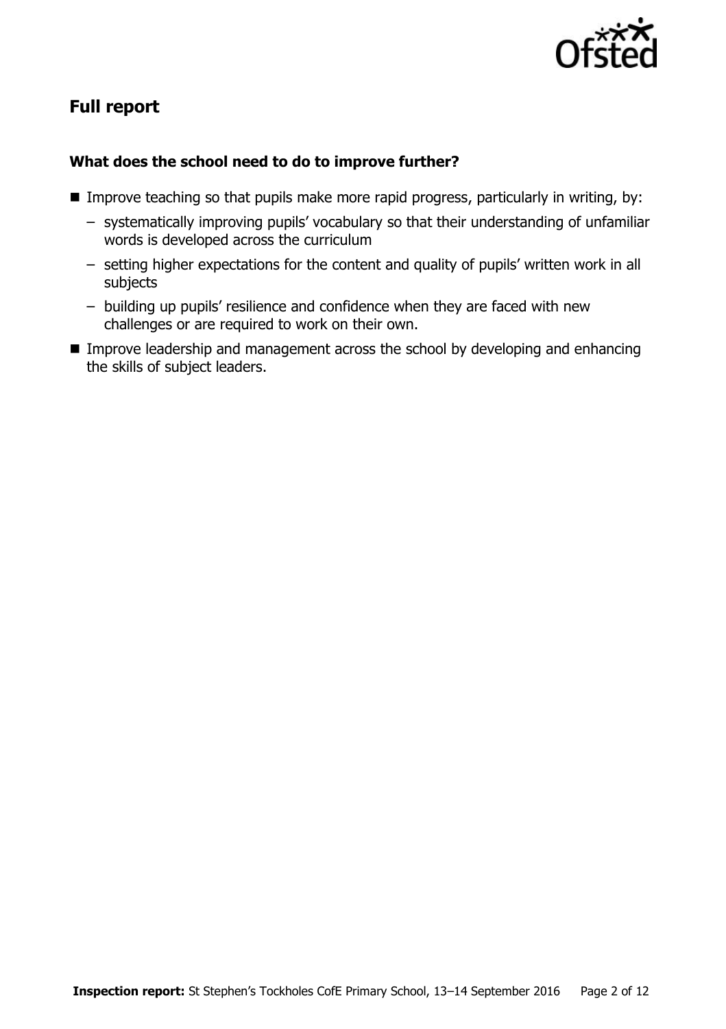

# **Full report**

## **What does the school need to do to improve further?**

- **IMPROVE THE SO THAT IMAGE IN THE IMPROVE THAT IMAGE IN THAT IMAGES** In the specified position of that improve teaching, by:
	- systematically improving pupils' vocabulary so that their understanding of unfamiliar words is developed across the curriculum
	- setting higher expectations for the content and quality of pupils' written work in all subjects
	- building up pupils' resilience and confidence when they are faced with new challenges or are required to work on their own.
- **IMPROVE LEADERSHIP and management across the school by developing and enhancing** the skills of subject leaders.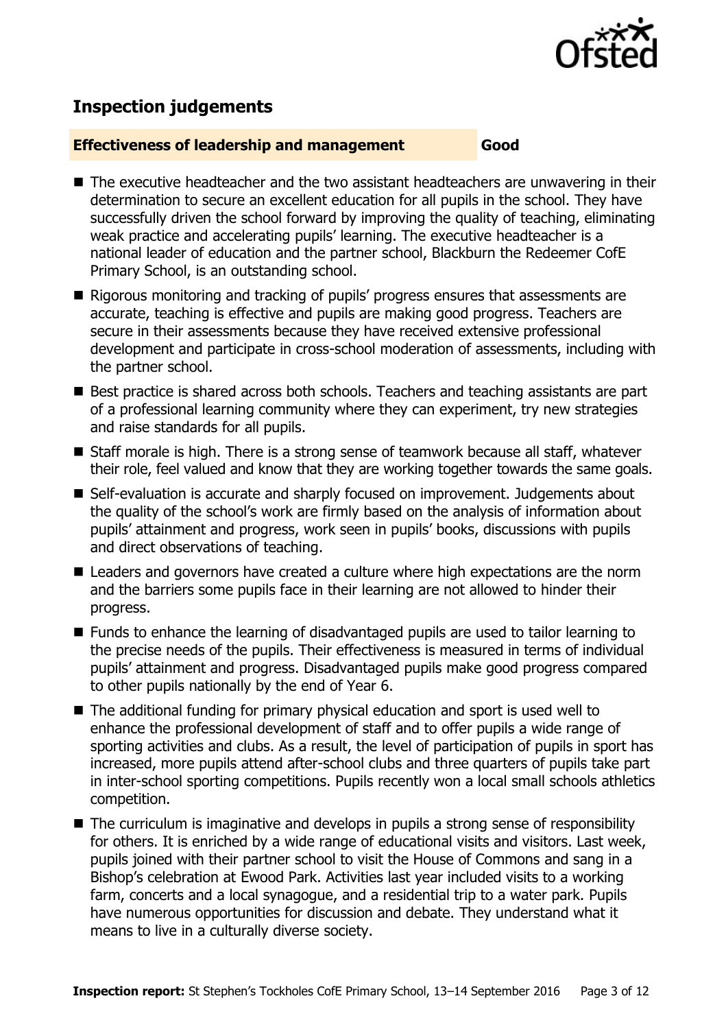

# **Inspection judgements**

#### **Effectiveness of leadership and management Good**

- The executive headteacher and the two assistant headteachers are unwavering in their determination to secure an excellent education for all pupils in the school. They have successfully driven the school forward by improving the quality of teaching, eliminating weak practice and accelerating pupils' learning. The executive headteacher is a national leader of education and the partner school, Blackburn the Redeemer CofE Primary School, is an outstanding school.
- Rigorous monitoring and tracking of pupils' progress ensures that assessments are accurate, teaching is effective and pupils are making good progress. Teachers are secure in their assessments because they have received extensive professional development and participate in cross-school moderation of assessments, including with the partner school.
- Best practice is shared across both schools. Teachers and teaching assistants are part of a professional learning community where they can experiment, try new strategies and raise standards for all pupils.
- Staff morale is high. There is a strong sense of teamwork because all staff, whatever their role, feel valued and know that they are working together towards the same goals.
- Self-evaluation is accurate and sharply focused on improvement. Judgements about the quality of the school's work are firmly based on the analysis of information about pupils' attainment and progress, work seen in pupils' books, discussions with pupils and direct observations of teaching.
- Leaders and governors have created a culture where high expectations are the norm and the barriers some pupils face in their learning are not allowed to hinder their progress.
- Funds to enhance the learning of disadvantaged pupils are used to tailor learning to the precise needs of the pupils. Their effectiveness is measured in terms of individual pupils' attainment and progress. Disadvantaged pupils make good progress compared to other pupils nationally by the end of Year 6.
- The additional funding for primary physical education and sport is used well to enhance the professional development of staff and to offer pupils a wide range of sporting activities and clubs. As a result, the level of participation of pupils in sport has increased, more pupils attend after-school clubs and three quarters of pupils take part in inter-school sporting competitions. Pupils recently won a local small schools athletics competition.
- $\blacksquare$  The curriculum is imaginative and develops in pupils a strong sense of responsibility for others. It is enriched by a wide range of educational visits and visitors. Last week, pupils joined with their partner school to visit the House of Commons and sang in a Bishop's celebration at Ewood Park. Activities last year included visits to a working farm, concerts and a local synagogue, and a residential trip to a water park. Pupils have numerous opportunities for discussion and debate. They understand what it means to live in a culturally diverse society.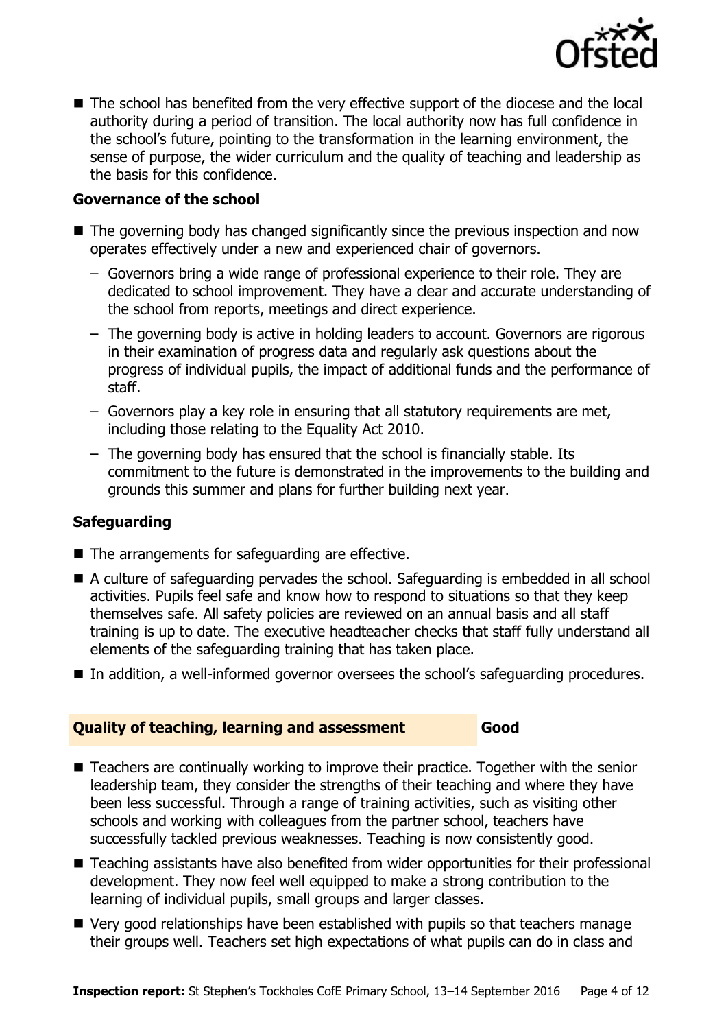

■ The school has benefited from the very effective support of the diocese and the local authority during a period of transition. The local authority now has full confidence in the school's future, pointing to the transformation in the learning environment, the sense of purpose, the wider curriculum and the quality of teaching and leadership as the basis for this confidence.

## **Governance of the school**

- The governing body has changed significantly since the previous inspection and now operates effectively under a new and experienced chair of governors.
	- Governors bring a wide range of professional experience to their role. They are dedicated to school improvement. They have a clear and accurate understanding of the school from reports, meetings and direct experience.
	- The governing body is active in holding leaders to account. Governors are rigorous in their examination of progress data and regularly ask questions about the progress of individual pupils, the impact of additional funds and the performance of staff.
	- Governors play a key role in ensuring that all statutory requirements are met, including those relating to the Equality Act 2010.
	- The governing body has ensured that the school is financially stable. Its commitment to the future is demonstrated in the improvements to the building and grounds this summer and plans for further building next year.

## **Safeguarding**

- The arrangements for safeguarding are effective.
- A culture of safeguarding pervades the school. Safeguarding is embedded in all school activities. Pupils feel safe and know how to respond to situations so that they keep themselves safe. All safety policies are reviewed on an annual basis and all staff training is up to date. The executive headteacher checks that staff fully understand all elements of the safeguarding training that has taken place.
- In addition, a well-informed governor oversees the school's safeguarding procedures.

#### **Quality of teaching, learning and assessment Good**

- Teachers are continually working to improve their practice. Together with the senior leadership team, they consider the strengths of their teaching and where they have been less successful. Through a range of training activities, such as visiting other schools and working with colleagues from the partner school, teachers have successfully tackled previous weaknesses. Teaching is now consistently good.
- Teaching assistants have also benefited from wider opportunities for their professional development. They now feel well equipped to make a strong contribution to the learning of individual pupils, small groups and larger classes.
- Very good relationships have been established with pupils so that teachers manage their groups well. Teachers set high expectations of what pupils can do in class and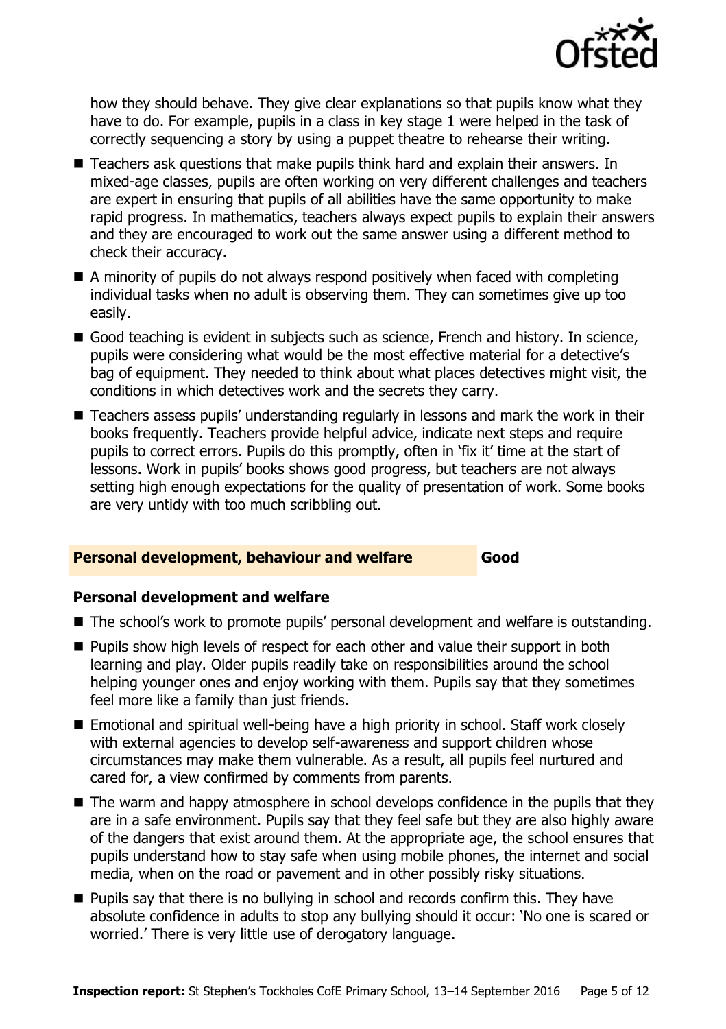

how they should behave. They give clear explanations so that pupils know what they have to do. For example, pupils in a class in key stage 1 were helped in the task of correctly sequencing a story by using a puppet theatre to rehearse their writing.

- Teachers ask questions that make pupils think hard and explain their answers. In mixed-age classes, pupils are often working on very different challenges and teachers are expert in ensuring that pupils of all abilities have the same opportunity to make rapid progress. In mathematics, teachers always expect pupils to explain their answers and they are encouraged to work out the same answer using a different method to check their accuracy.
- A minority of pupils do not always respond positively when faced with completing individual tasks when no adult is observing them. They can sometimes give up too easily.
- Good teaching is evident in subjects such as science, French and history. In science, pupils were considering what would be the most effective material for a detective's bag of equipment. They needed to think about what places detectives might visit, the conditions in which detectives work and the secrets they carry.
- Teachers assess pupils' understanding regularly in lessons and mark the work in their books frequently. Teachers provide helpful advice, indicate next steps and require pupils to correct errors. Pupils do this promptly, often in 'fix it' time at the start of lessons. Work in pupils' books shows good progress, but teachers are not always setting high enough expectations for the quality of presentation of work. Some books are very untidy with too much scribbling out.

#### **Personal development, behaviour and welfare Good**

#### **Personal development and welfare**

- The school's work to promote pupils' personal development and welfare is outstanding.
- **Pupils show high levels of respect for each other and value their support in both** learning and play. Older pupils readily take on responsibilities around the school helping younger ones and enjoy working with them. Pupils say that they sometimes feel more like a family than just friends.
- Emotional and spiritual well-being have a high priority in school. Staff work closely with external agencies to develop self-awareness and support children whose circumstances may make them vulnerable. As a result, all pupils feel nurtured and cared for, a view confirmed by comments from parents.
- The warm and happy atmosphere in school develops confidence in the pupils that they are in a safe environment. Pupils say that they feel safe but they are also highly aware of the dangers that exist around them. At the appropriate age, the school ensures that pupils understand how to stay safe when using mobile phones, the internet and social media, when on the road or pavement and in other possibly risky situations.
- **Pupils say that there is no bullying in school and records confirm this. They have** absolute confidence in adults to stop any bullying should it occur: 'No one is scared or worried.' There is very little use of derogatory language.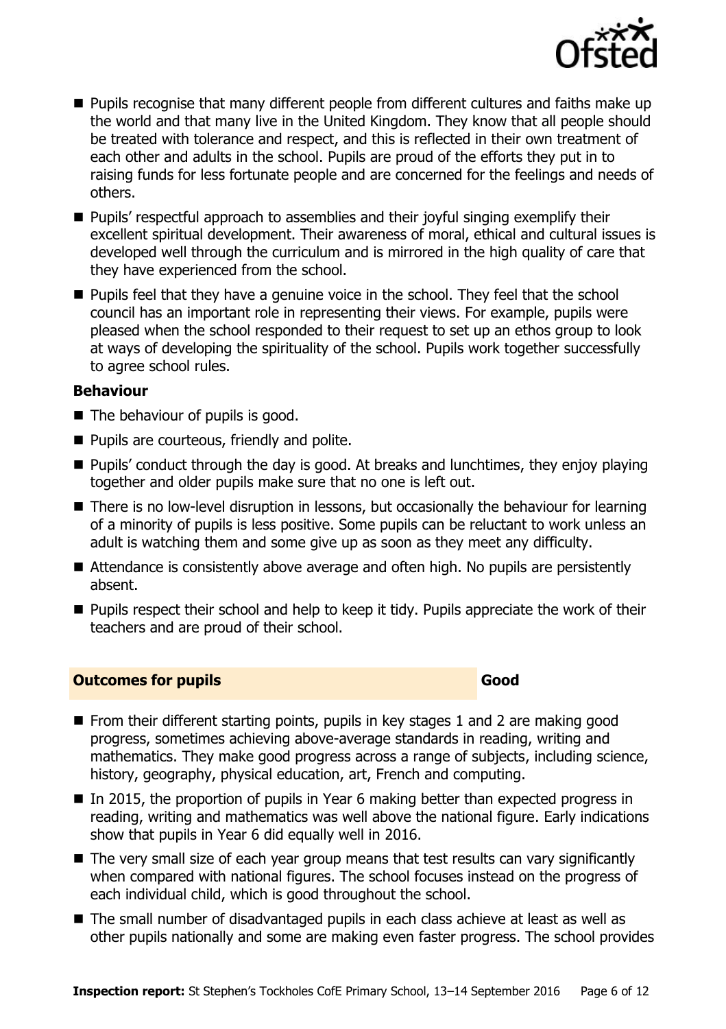

- **Pupils recognise that many different people from different cultures and faiths make up** the world and that many live in the United Kingdom. They know that all people should be treated with tolerance and respect, and this is reflected in their own treatment of each other and adults in the school. Pupils are proud of the efforts they put in to raising funds for less fortunate people and are concerned for the feelings and needs of others.
- **Pupils'** respectful approach to assemblies and their joyful singing exemplify their excellent spiritual development. Their awareness of moral, ethical and cultural issues is developed well through the curriculum and is mirrored in the high quality of care that they have experienced from the school.
- **Pupils feel that they have a genuine voice in the school. They feel that the school** council has an important role in representing their views. For example, pupils were pleased when the school responded to their request to set up an ethos group to look at ways of developing the spirituality of the school. Pupils work together successfully to agree school rules.

#### **Behaviour**

- The behaviour of pupils is good.
- **Pupils are courteous, friendly and polite.**
- Pupils' conduct through the day is good. At breaks and lunchtimes, they enjoy playing together and older pupils make sure that no one is left out.
- There is no low-level disruption in lessons, but occasionally the behaviour for learning of a minority of pupils is less positive. Some pupils can be reluctant to work unless an adult is watching them and some give up as soon as they meet any difficulty.
- Attendance is consistently above average and often high. No pupils are persistently absent.
- **Pupils respect their school and help to keep it tidy. Pupils appreciate the work of their** teachers and are proud of their school.

#### **Outcomes for pupils Good**

- **From their different starting points, pupils in key stages 1 and 2 are making good** progress, sometimes achieving above-average standards in reading, writing and mathematics. They make good progress across a range of subjects, including science, history, geography, physical education, art, French and computing.
- In 2015, the proportion of pupils in Year 6 making better than expected progress in reading, writing and mathematics was well above the national figure. Early indications show that pupils in Year 6 did equally well in 2016.
- The very small size of each year group means that test results can vary significantly when compared with national figures. The school focuses instead on the progress of each individual child, which is good throughout the school.
- The small number of disadvantaged pupils in each class achieve at least as well as other pupils nationally and some are making even faster progress. The school provides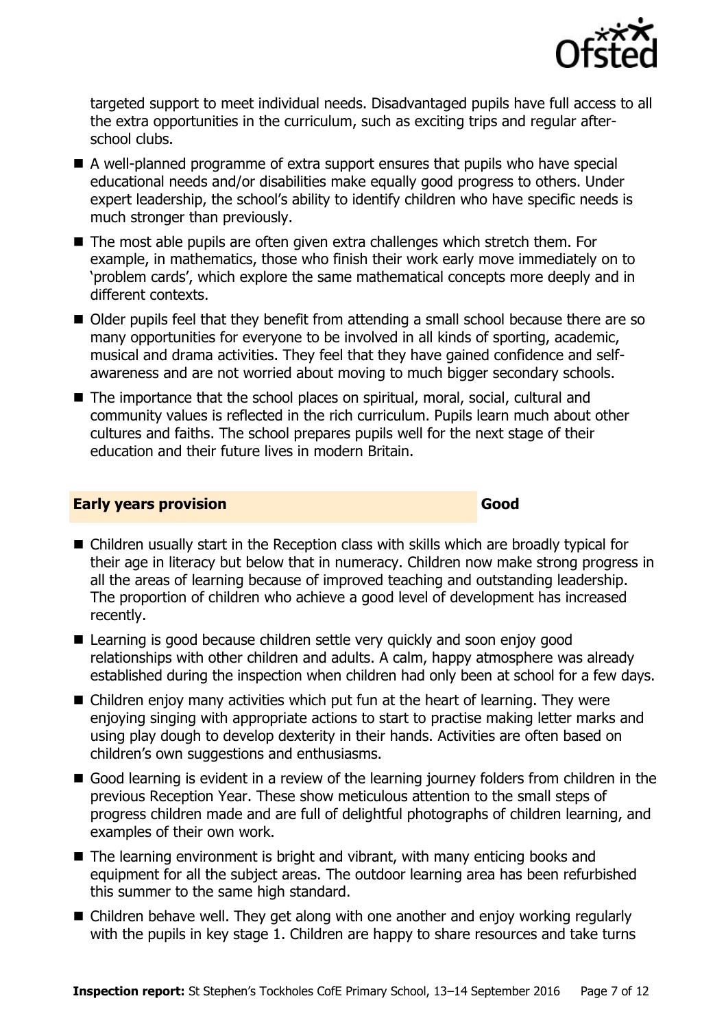

targeted support to meet individual needs. Disadvantaged pupils have full access to all the extra opportunities in the curriculum, such as exciting trips and regular afterschool clubs.

- A well-planned programme of extra support ensures that pupils who have special educational needs and/or disabilities make equally good progress to others. Under expert leadership, the school's ability to identify children who have specific needs is much stronger than previously.
- The most able pupils are often given extra challenges which stretch them. For example, in mathematics, those who finish their work early move immediately on to 'problem cards', which explore the same mathematical concepts more deeply and in different contexts.
- Older pupils feel that they benefit from attending a small school because there are so many opportunities for everyone to be involved in all kinds of sporting, academic, musical and drama activities. They feel that they have gained confidence and selfawareness and are not worried about moving to much bigger secondary schools.
- The importance that the school places on spiritual, moral, social, cultural and community values is reflected in the rich curriculum. Pupils learn much about other cultures and faiths. The school prepares pupils well for the next stage of their education and their future lives in modern Britain.

#### **Early years provision Good Good**

- Children usually start in the Reception class with skills which are broadly typical for their age in literacy but below that in numeracy. Children now make strong progress in all the areas of learning because of improved teaching and outstanding leadership. The proportion of children who achieve a good level of development has increased recently.
- Learning is good because children settle very quickly and soon enjoy good relationships with other children and adults. A calm, happy atmosphere was already established during the inspection when children had only been at school for a few days.
- Children enjoy many activities which put fun at the heart of learning. They were enjoying singing with appropriate actions to start to practise making letter marks and using play dough to develop dexterity in their hands. Activities are often based on children's own suggestions and enthusiasms.
- Good learning is evident in a review of the learning journey folders from children in the previous Reception Year. These show meticulous attention to the small steps of progress children made and are full of delightful photographs of children learning, and examples of their own work.
- The learning environment is bright and vibrant, with many enticing books and equipment for all the subject areas. The outdoor learning area has been refurbished this summer to the same high standard.
- Children behave well. They get along with one another and enjoy working regularly with the pupils in key stage 1. Children are happy to share resources and take turns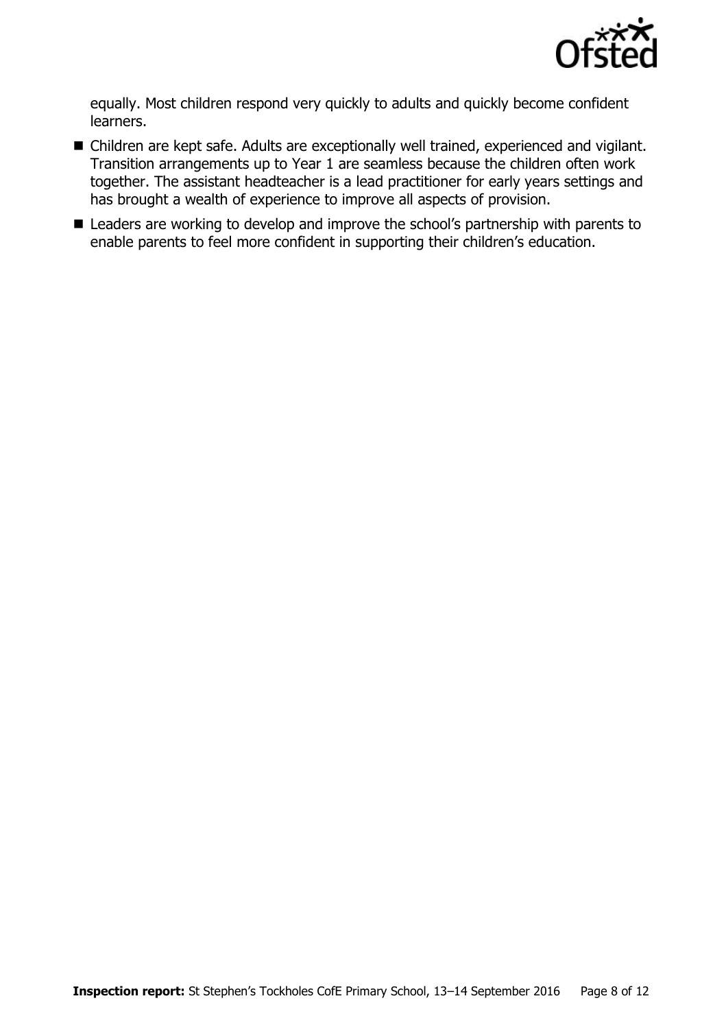

equally. Most children respond very quickly to adults and quickly become confident learners.

- Children are kept safe. Adults are exceptionally well trained, experienced and vigilant. Transition arrangements up to Year 1 are seamless because the children often work together. The assistant headteacher is a lead practitioner for early years settings and has brought a wealth of experience to improve all aspects of provision.
- Leaders are working to develop and improve the school's partnership with parents to enable parents to feel more confident in supporting their children's education.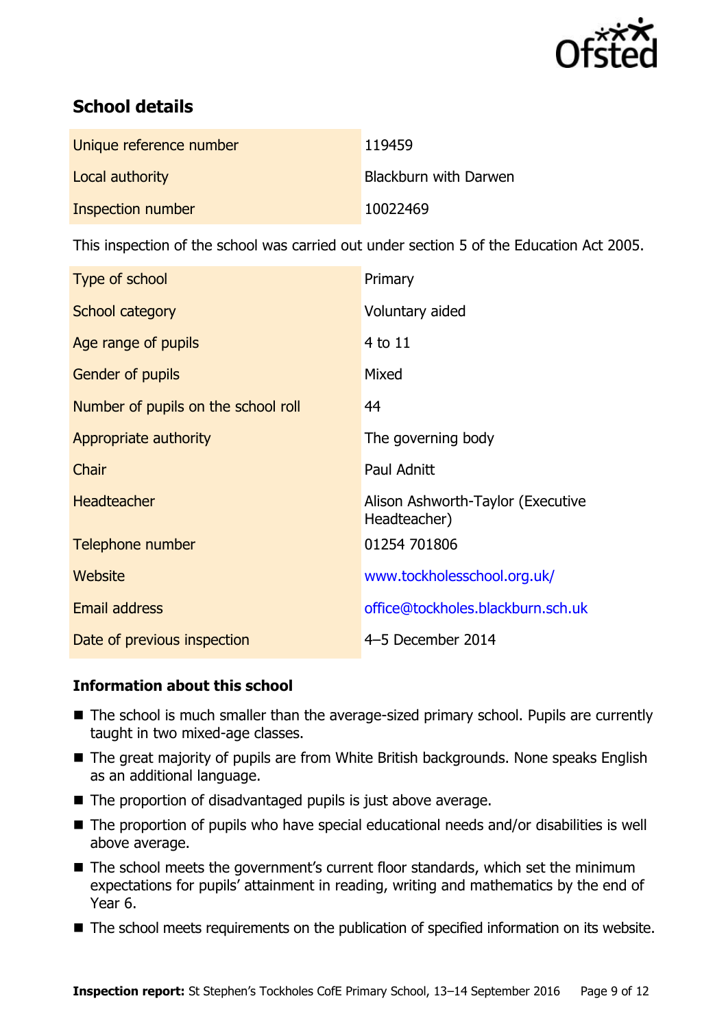

# **School details**

| Unique reference number | 119459                |
|-------------------------|-----------------------|
| Local authority         | Blackburn with Darwen |
| Inspection number       | 10022469              |

This inspection of the school was carried out under section 5 of the Education Act 2005.

| Type of school                      | Primary                                           |
|-------------------------------------|---------------------------------------------------|
| School category                     | Voluntary aided                                   |
| Age range of pupils                 | $4$ to $11$                                       |
| Gender of pupils                    | Mixed                                             |
| Number of pupils on the school roll | 44                                                |
| Appropriate authority               | The governing body                                |
| Chair                               | Paul Adnitt                                       |
| <b>Headteacher</b>                  | Alison Ashworth-Taylor (Executive<br>Headteacher) |
| Telephone number                    | 01254 701806                                      |
| Website                             | www.tockholesschool.org.uk/                       |
| Email address                       | office@tockholes.blackburn.sch.uk                 |
| Date of previous inspection         | 4-5 December 2014                                 |

## **Information about this school**

- The school is much smaller than the average-sized primary school. Pupils are currently taught in two mixed-age classes.
- The great majority of pupils are from White British backgrounds. None speaks English as an additional language.
- The proportion of disadvantaged pupils is just above average.
- The proportion of pupils who have special educational needs and/or disabilities is well above average.
- The school meets the government's current floor standards, which set the minimum expectations for pupils' attainment in reading, writing and mathematics by the end of Year 6.
- The school meets requirements on the publication of specified information on its website.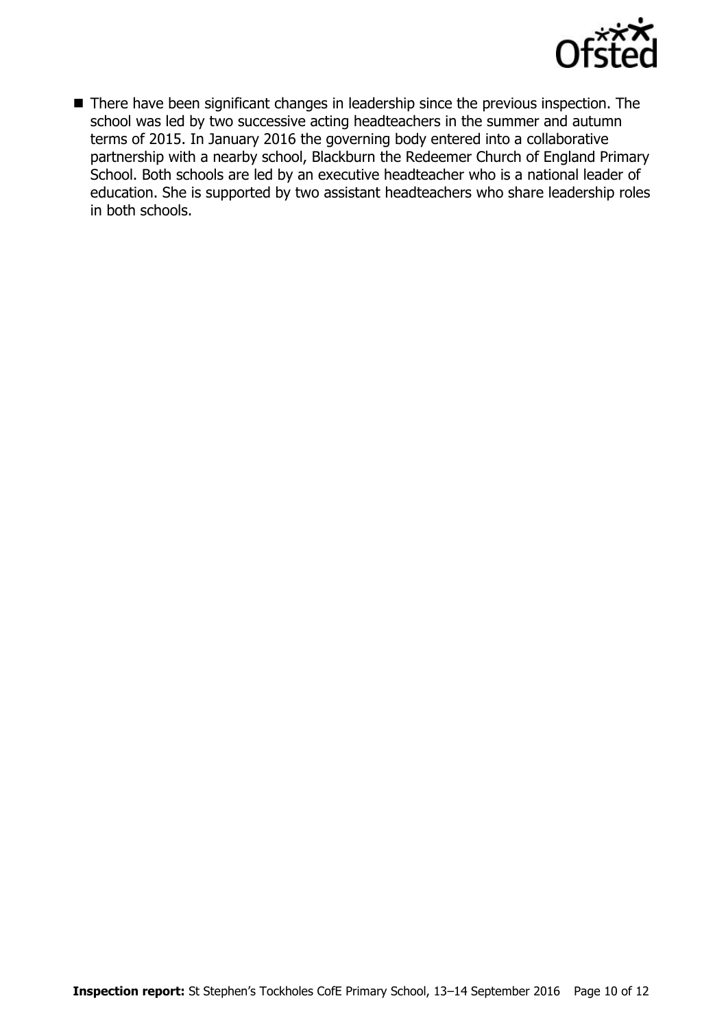

■ There have been significant changes in leadership since the previous inspection. The school was led by two successive acting headteachers in the summer and autumn terms of 2015. In January 2016 the governing body entered into a collaborative partnership with a nearby school, Blackburn the Redeemer Church of England Primary School. Both schools are led by an executive headteacher who is a national leader of education. She is supported by two assistant headteachers who share leadership roles in both schools.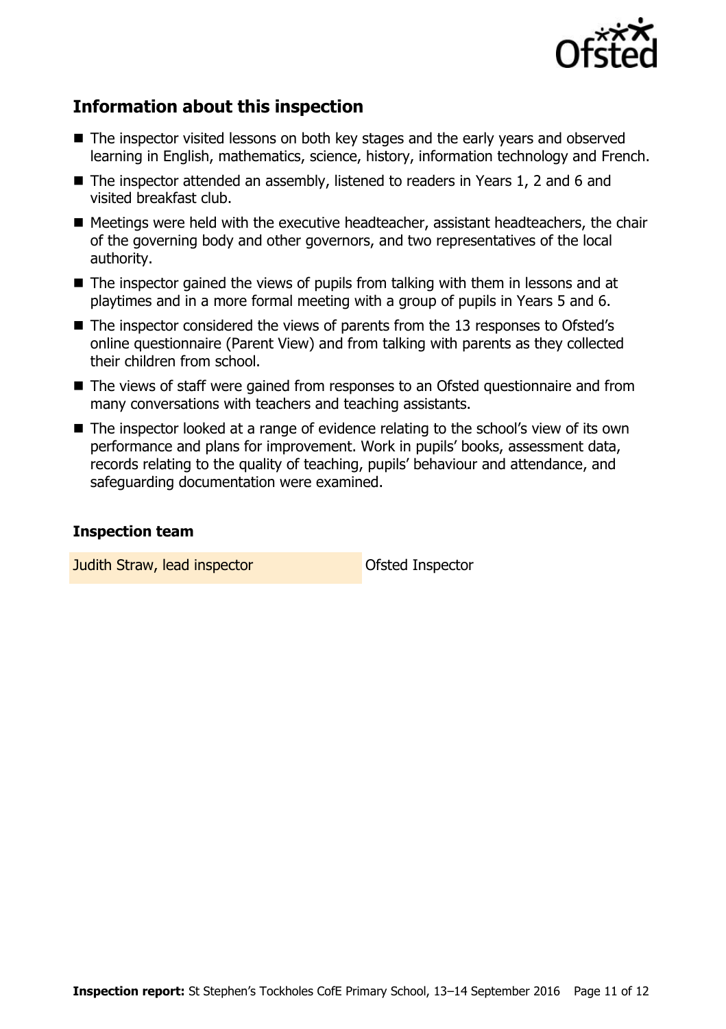

## **Information about this inspection**

- The inspector visited lessons on both key stages and the early years and observed learning in English, mathematics, science, history, information technology and French.
- The inspector attended an assembly, listened to readers in Years 1, 2 and 6 and visited breakfast club.
- $\blacksquare$  Meetings were held with the executive headteacher, assistant headteachers, the chair of the governing body and other governors, and two representatives of the local authority.
- The inspector gained the views of pupils from talking with them in lessons and at playtimes and in a more formal meeting with a group of pupils in Years 5 and 6.
- The inspector considered the views of parents from the 13 responses to Ofsted's online questionnaire (Parent View) and from talking with parents as they collected their children from school.
- The views of staff were gained from responses to an Ofsted questionnaire and from many conversations with teachers and teaching assistants.
- The inspector looked at a range of evidence relating to the school's view of its own performance and plans for improvement. Work in pupils' books, assessment data, records relating to the quality of teaching, pupils' behaviour and attendance, and safeguarding documentation were examined.

#### **Inspection team**

**Judith Straw, lead inspector Constructed Inspector**